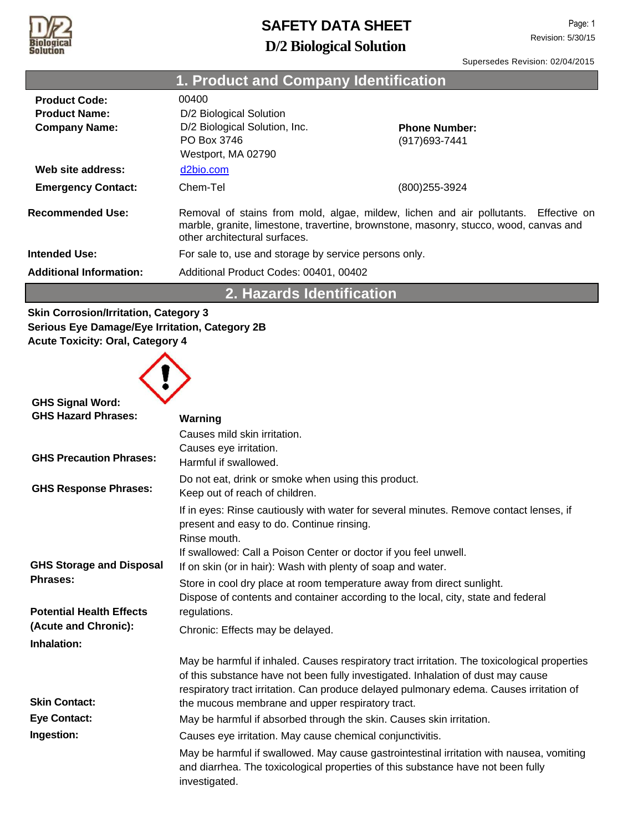

Page: 1 Revision: 5/30/15

**Contract Contract** 

Supersedes Revision: 02/04/2015

|                                                                      | 1. Product and Company Identification                                                                                                                                                                         |                                        |  |
|----------------------------------------------------------------------|---------------------------------------------------------------------------------------------------------------------------------------------------------------------------------------------------------------|----------------------------------------|--|
| <b>Product Code:</b><br><b>Product Name:</b><br><b>Company Name:</b> | 00400<br>D/2 Biological Solution<br>D/2 Biological Solution, Inc.<br>PO Box 3746<br>Westport, MA 02790                                                                                                        | <b>Phone Number:</b><br>(917) 693-7441 |  |
| Web site address:                                                    | d2bio.com                                                                                                                                                                                                     |                                        |  |
| <b>Emergency Contact:</b>                                            | Chem-Tel                                                                                                                                                                                                      | (800)255-3924                          |  |
| <b>Recommended Use:</b>                                              | Removal of stains from mold, algae, mildew, lichen and air pollutants. Effective on<br>marble, granite, limestone, travertine, brownstone, masonry, stucco, wood, canvas and<br>other architectural surfaces. |                                        |  |
| <b>Intended Use:</b>                                                 | For sale to, use and storage by service persons only.                                                                                                                                                         |                                        |  |
| <b>Additional Information:</b>                                       | Additional Product Codes: 00401, 00402                                                                                                                                                                        |                                        |  |
| 2. Hazards Identification                                            |                                                                                                                                                                                                               |                                        |  |
| <b>Skin Corrosion/Irritation, Category 3</b>                         |                                                                                                                                                                                                               |                                        |  |

**Skin Corrosion/Irritation, Category 3 Serious Eye Damage/Eye Irritation, Category 2B Acute Toxicity: Oral, Category 4**



| <b>GHS Signal Word:</b>         |                                                                                                                                                                                                                                                                             |
|---------------------------------|-----------------------------------------------------------------------------------------------------------------------------------------------------------------------------------------------------------------------------------------------------------------------------|
| <b>GHS Hazard Phrases:</b>      | Warning                                                                                                                                                                                                                                                                     |
|                                 | Causes mild skin irritation.                                                                                                                                                                                                                                                |
|                                 | Causes eye irritation.                                                                                                                                                                                                                                                      |
| <b>GHS Precaution Phrases:</b>  | Harmful if swallowed.                                                                                                                                                                                                                                                       |
|                                 | Do not eat, drink or smoke when using this product.                                                                                                                                                                                                                         |
| <b>GHS Response Phrases:</b>    | Keep out of reach of children.                                                                                                                                                                                                                                              |
|                                 | If in eyes: Rinse cautiously with water for several minutes. Remove contact lenses, if<br>present and easy to do. Continue rinsing.<br>Rinse mouth.                                                                                                                         |
|                                 | If swallowed: Call a Poison Center or doctor if you feel unwell.                                                                                                                                                                                                            |
| <b>GHS Storage and Disposal</b> | If on skin (or in hair): Wash with plenty of soap and water.                                                                                                                                                                                                                |
| <b>Phrases:</b>                 | Store in cool dry place at room temperature away from direct sunlight.                                                                                                                                                                                                      |
|                                 | Dispose of contents and container according to the local, city, state and federal                                                                                                                                                                                           |
| <b>Potential Health Effects</b> | regulations.                                                                                                                                                                                                                                                                |
| (Acute and Chronic):            | Chronic: Effects may be delayed.                                                                                                                                                                                                                                            |
| Inhalation:                     |                                                                                                                                                                                                                                                                             |
|                                 | May be harmful if inhaled. Causes respiratory tract irritation. The toxicological properties<br>of this substance have not been fully investigated. Inhalation of dust may cause<br>respiratory tract irritation. Can produce delayed pulmonary edema. Causes irritation of |
| <b>Skin Contact:</b>            | the mucous membrane and upper respiratory tract.                                                                                                                                                                                                                            |
| <b>Eye Contact:</b>             | May be harmful if absorbed through the skin. Causes skin irritation.                                                                                                                                                                                                        |
| Ingestion:                      | Causes eye irritation. May cause chemical conjunctivitis.                                                                                                                                                                                                                   |
|                                 | May be harmful if swallowed. May cause gastrointestinal irritation with nausea, vomiting<br>and diarrhea. The toxicological properties of this substance have not been fully<br>investigated.                                                                               |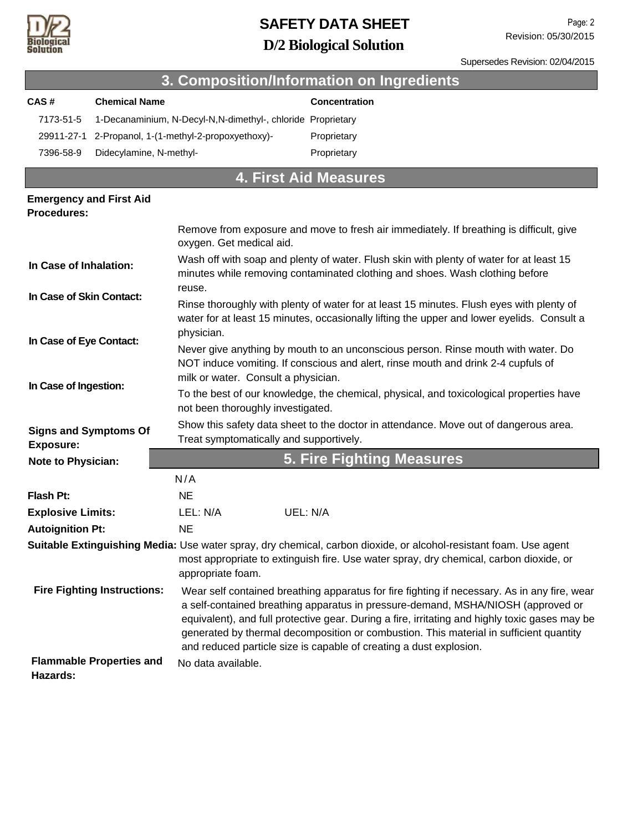

Supersedes Revision: 02/04/2015

| 3. Composition/Information on Ingredients                                                                                                                                           |                                 |                                                                                                                                                                                        |                                                                                                                                                                                                                                                                                                                                                                                                                                                    |  |
|-------------------------------------------------------------------------------------------------------------------------------------------------------------------------------------|---------------------------------|----------------------------------------------------------------------------------------------------------------------------------------------------------------------------------------|----------------------------------------------------------------------------------------------------------------------------------------------------------------------------------------------------------------------------------------------------------------------------------------------------------------------------------------------------------------------------------------------------------------------------------------------------|--|
| CAS#                                                                                                                                                                                | <b>Chemical Name</b>            |                                                                                                                                                                                        | Concentration                                                                                                                                                                                                                                                                                                                                                                                                                                      |  |
| 7173-51-5                                                                                                                                                                           |                                 | 1-Decanaminium, N-Decyl-N,N-dimethyl-, chloride Proprietary                                                                                                                            |                                                                                                                                                                                                                                                                                                                                                                                                                                                    |  |
| 29911-27-1                                                                                                                                                                          |                                 | 2-Propanol, 1-(1-methyl-2-propoxyethoxy)-                                                                                                                                              | Proprietary                                                                                                                                                                                                                                                                                                                                                                                                                                        |  |
| 7396-58-9                                                                                                                                                                           | Didecylamine, N-methyl-         |                                                                                                                                                                                        | Proprietary                                                                                                                                                                                                                                                                                                                                                                                                                                        |  |
|                                                                                                                                                                                     |                                 |                                                                                                                                                                                        | <b>4. First Aid Measures</b>                                                                                                                                                                                                                                                                                                                                                                                                                       |  |
| <b>Emergency and First Aid</b><br><b>Procedures:</b>                                                                                                                                |                                 |                                                                                                                                                                                        |                                                                                                                                                                                                                                                                                                                                                                                                                                                    |  |
|                                                                                                                                                                                     |                                 | oxygen. Get medical aid.                                                                                                                                                               | Remove from exposure and move to fresh air immediately. If breathing is difficult, give                                                                                                                                                                                                                                                                                                                                                            |  |
| In Case of Inhalation:<br>reuse.<br>In Case of Skin Contact:<br>physician.<br>In Case of Eye Contact:<br>milk or water. Consult a physician.<br>In Case of Ingestion:               |                                 |                                                                                                                                                                                        | Wash off with soap and plenty of water. Flush skin with plenty of water for at least 15<br>minutes while removing contaminated clothing and shoes. Wash clothing before                                                                                                                                                                                                                                                                            |  |
|                                                                                                                                                                                     |                                 | Rinse thoroughly with plenty of water for at least 15 minutes. Flush eyes with plenty of<br>water for at least 15 minutes, occasionally lifting the upper and lower eyelids. Consult a |                                                                                                                                                                                                                                                                                                                                                                                                                                                    |  |
|                                                                                                                                                                                     |                                 | Never give anything by mouth to an unconscious person. Rinse mouth with water. Do<br>NOT induce vomiting. If conscious and alert, rinse mouth and drink 2-4 cupfuls of                 |                                                                                                                                                                                                                                                                                                                                                                                                                                                    |  |
|                                                                                                                                                                                     |                                 | To the best of our knowledge, the chemical, physical, and toxicological properties have<br>not been thoroughly investigated.                                                           |                                                                                                                                                                                                                                                                                                                                                                                                                                                    |  |
| Show this safety data sheet to the doctor in attendance. Move out of dangerous area.<br><b>Signs and Symptoms Of</b><br>Treat symptomatically and supportively.<br><b>Exposure:</b> |                                 |                                                                                                                                                                                        |                                                                                                                                                                                                                                                                                                                                                                                                                                                    |  |
| <b>5. Fire Fighting Measures</b><br><b>Note to Physician:</b>                                                                                                                       |                                 |                                                                                                                                                                                        |                                                                                                                                                                                                                                                                                                                                                                                                                                                    |  |
|                                                                                                                                                                                     |                                 | N/A                                                                                                                                                                                    |                                                                                                                                                                                                                                                                                                                                                                                                                                                    |  |
| <b>Flash Pt:</b>                                                                                                                                                                    |                                 | <b>NE</b>                                                                                                                                                                              |                                                                                                                                                                                                                                                                                                                                                                                                                                                    |  |
| <b>Explosive Limits:</b>                                                                                                                                                            |                                 | UEL: N/A<br>LEL: N/A                                                                                                                                                                   |                                                                                                                                                                                                                                                                                                                                                                                                                                                    |  |
| <b>Autoignition Pt:</b>                                                                                                                                                             |                                 | <b>NE</b>                                                                                                                                                                              |                                                                                                                                                                                                                                                                                                                                                                                                                                                    |  |
|                                                                                                                                                                                     |                                 | appropriate foam.                                                                                                                                                                      | Suitable Extinguishing Media: Use water spray, dry chemical, carbon dioxide, or alcohol-resistant foam. Use agent<br>most appropriate to extinguish fire. Use water spray, dry chemical, carbon dioxide, or                                                                                                                                                                                                                                        |  |
| <b>Fire Fighting Instructions:</b>                                                                                                                                                  |                                 |                                                                                                                                                                                        | Wear self contained breathing apparatus for fire fighting if necessary. As in any fire, wear<br>a self-contained breathing apparatus in pressure-demand, MSHA/NIOSH (approved or<br>equivalent), and full protective gear. During a fire, irritating and highly toxic gases may be<br>generated by thermal decomposition or combustion. This material in sufficient quantity<br>and reduced particle size is capable of creating a dust explosion. |  |
| Hazards:                                                                                                                                                                            | <b>Flammable Properties and</b> | No data available.                                                                                                                                                                     |                                                                                                                                                                                                                                                                                                                                                                                                                                                    |  |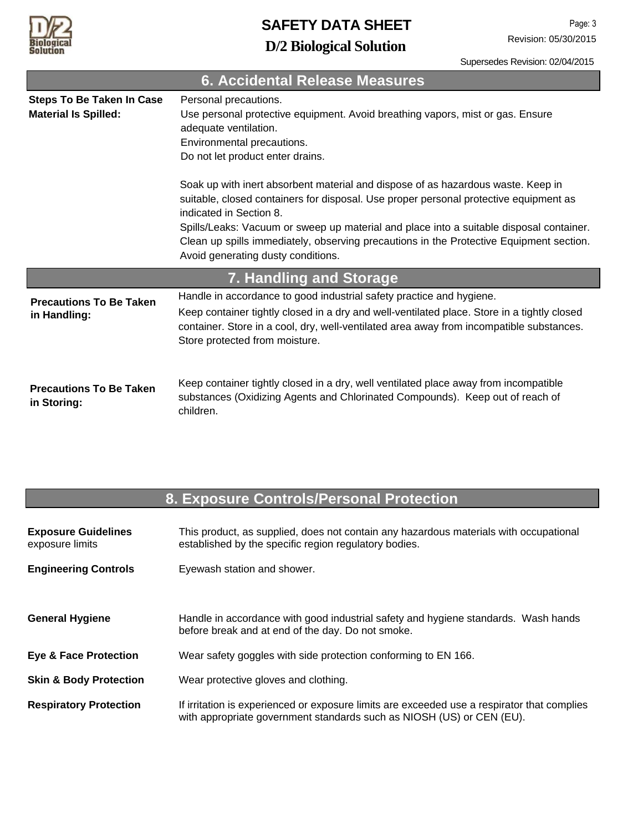

Supersedes Revision: 02/04/2015

| <b>6. Accidental Release Measures</b>                           |                                                                                                                                                                                                                                                                                                                                                                                                                                  |  |  |
|-----------------------------------------------------------------|----------------------------------------------------------------------------------------------------------------------------------------------------------------------------------------------------------------------------------------------------------------------------------------------------------------------------------------------------------------------------------------------------------------------------------|--|--|
| <b>Steps To Be Taken In Case</b><br><b>Material Is Spilled:</b> | Personal precautions.<br>Use personal protective equipment. Avoid breathing vapors, mist or gas. Ensure<br>adequate ventilation.<br>Environmental precautions.<br>Do not let product enter drains.                                                                                                                                                                                                                               |  |  |
|                                                                 | Soak up with inert absorbent material and dispose of as hazardous waste. Keep in<br>suitable, closed containers for disposal. Use proper personal protective equipment as<br>indicated in Section 8.<br>Spills/Leaks: Vacuum or sweep up material and place into a suitable disposal container.<br>Clean up spills immediately, observing precautions in the Protective Equipment section.<br>Avoid generating dusty conditions. |  |  |
| 7. Handling and Storage                                         |                                                                                                                                                                                                                                                                                                                                                                                                                                  |  |  |
| <b>Precautions To Be Taken</b><br>in Handling:                  | Handle in accordance to good industrial safety practice and hygiene.<br>Keep container tightly closed in a dry and well-ventilated place. Store in a tightly closed<br>container. Store in a cool, dry, well-ventilated area away from incompatible substances.<br>Store protected from moisture.                                                                                                                                |  |  |
| <b>Precautions To Be Taken</b><br>in Storing:                   | Keep container tightly closed in a dry, well ventilated place away from incompatible<br>substances (Oxidizing Agents and Chlorinated Compounds). Keep out of reach of<br>children.                                                                                                                                                                                                                                               |  |  |

### **8. Exposure Controls/Personal Protection**

| <b>Exposure Guidelines</b><br>exposure limits | This product, as supplied, does not contain any hazardous materials with occupational<br>established by the specific region regulatory bodies.                       |
|-----------------------------------------------|----------------------------------------------------------------------------------------------------------------------------------------------------------------------|
| <b>Engineering Controls</b>                   | Eyewash station and shower.                                                                                                                                          |
| <b>General Hygiene</b>                        | Handle in accordance with good industrial safety and hygiene standards. Wash hands<br>before break and at end of the day. Do not smoke.                              |
| <b>Eye &amp; Face Protection</b>              | Wear safety goggles with side protection conforming to EN 166.                                                                                                       |
| <b>Skin &amp; Body Protection</b>             | Wear protective gloves and clothing.                                                                                                                                 |
| <b>Respiratory Protection</b>                 | If irritation is experienced or exposure limits are exceeded use a respirator that complies<br>with appropriate government standards such as NIOSH (US) or CEN (EU). |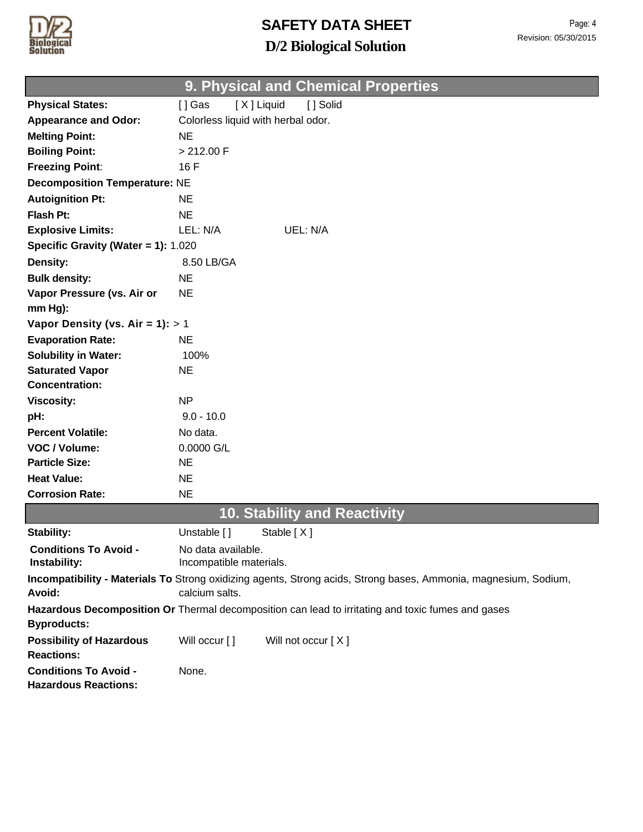

| Page: 4              |
|----------------------|
| Revision: 05/30/2015 |

#### **9. Physical and Chemical Properties**

| <b>Physical States:</b>                                                                                                 | [X] Liquid<br>[] Gas<br>[] Solid                                                                                |  |
|-------------------------------------------------------------------------------------------------------------------------|-----------------------------------------------------------------------------------------------------------------|--|
| <b>Appearance and Odor:</b>                                                                                             | Colorless liquid with herbal odor.                                                                              |  |
| <b>Melting Point:</b>                                                                                                   | <b>NE</b>                                                                                                       |  |
| <b>Boiling Point:</b>                                                                                                   | > 212.00 F                                                                                                      |  |
| <b>Freezing Point:</b>                                                                                                  | 16 F                                                                                                            |  |
| <b>Decomposition Temperature: NE</b>                                                                                    |                                                                                                                 |  |
| <b>Autoignition Pt:</b>                                                                                                 | <b>NE</b>                                                                                                       |  |
| <b>Flash Pt:</b>                                                                                                        | <b>NE</b>                                                                                                       |  |
| <b>Explosive Limits:</b>                                                                                                | LEL: N/A<br>UEL: N/A                                                                                            |  |
| Specific Gravity (Water = 1): 1.020                                                                                     |                                                                                                                 |  |
| <b>Density:</b>                                                                                                         | 8.50 LB/GA                                                                                                      |  |
| <b>Bulk density:</b>                                                                                                    | <b>NE</b>                                                                                                       |  |
| Vapor Pressure (vs. Air or                                                                                              | <b>NE</b>                                                                                                       |  |
| mm Hg):                                                                                                                 |                                                                                                                 |  |
| Vapor Density (vs. Air = $1$ ): > 1                                                                                     |                                                                                                                 |  |
| <b>Evaporation Rate:</b>                                                                                                | <b>NE</b>                                                                                                       |  |
| <b>Solubility in Water:</b>                                                                                             | 100%                                                                                                            |  |
| <b>Saturated Vapor</b>                                                                                                  | <b>NE</b>                                                                                                       |  |
| <b>Concentration:</b>                                                                                                   |                                                                                                                 |  |
| <b>Viscosity:</b>                                                                                                       | N <sub>P</sub>                                                                                                  |  |
| pH:                                                                                                                     | $9.0 - 10.0$                                                                                                    |  |
| <b>Percent Volatile:</b>                                                                                                | No data.                                                                                                        |  |
| VOC / Volume:                                                                                                           | $0.0000$ G/L                                                                                                    |  |
| <b>Particle Size:</b>                                                                                                   | <b>NE</b>                                                                                                       |  |
| <b>Heat Value:</b>                                                                                                      | <b>NE</b>                                                                                                       |  |
| <b>Corrosion Rate:</b>                                                                                                  | <b>NE</b>                                                                                                       |  |
|                                                                                                                         | <b>10. Stability and Reactivity</b>                                                                             |  |
| <b>Stability:</b>                                                                                                       | Unstable []<br>Stable [X]                                                                                       |  |
| <b>Conditions To Avoid -</b><br>Instability:                                                                            | No data available.<br>Incompatible materials.                                                                   |  |
|                                                                                                                         | Incompatibility - Materials To Strong oxidizing agents, Strong acids, Strong bases, Ammonia, magnesium, Sodium, |  |
| Avoid:                                                                                                                  | calcium salts.                                                                                                  |  |
| Hazardous Decomposition Or Thermal decomposition can lead to irritating and toxic fumes and gases<br><b>Byproducts:</b> |                                                                                                                 |  |
| <b>Possibility of Hazardous</b><br><b>Reactions:</b>                                                                    | Will occur []<br>Will not occur [X]                                                                             |  |
| <b>Conditions To Avoid -</b><br><b>Hazardous Reactions:</b>                                                             | None.                                                                                                           |  |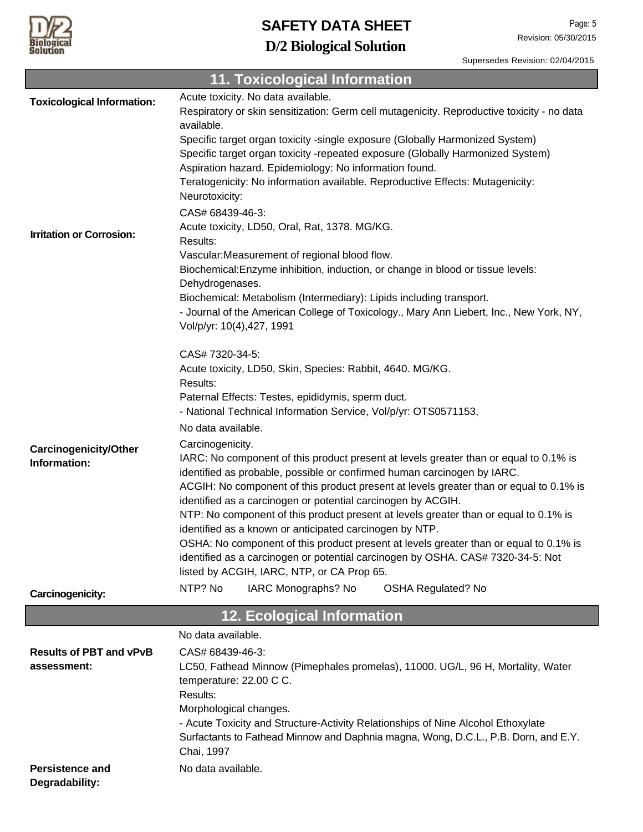

Supersedes Revision: 02/04/2015

|                                   | <b>11. Toxicological Information</b>                                                                                                                           |  |  |
|-----------------------------------|----------------------------------------------------------------------------------------------------------------------------------------------------------------|--|--|
| <b>Toxicological Information:</b> | Acute toxicity. No data available.                                                                                                                             |  |  |
|                                   | Respiratory or skin sensitization: Germ cell mutagenicity. Reproductive toxicity - no data                                                                     |  |  |
|                                   | available.                                                                                                                                                     |  |  |
|                                   | Specific target organ toxicity -single exposure (Globally Harmonized System)<br>Specific target organ toxicity -repeated exposure (Globally Harmonized System) |  |  |
|                                   | Aspiration hazard. Epidemiology: No information found.                                                                                                         |  |  |
|                                   | Teratogenicity: No information available. Reproductive Effects: Mutagenicity:                                                                                  |  |  |
|                                   | Neurotoxicity:                                                                                                                                                 |  |  |
|                                   | CAS# 68439-46-3:                                                                                                                                               |  |  |
| <b>Irritation or Corrosion:</b>   | Acute toxicity, LD50, Oral, Rat, 1378. MG/KG.                                                                                                                  |  |  |
|                                   | Results:                                                                                                                                                       |  |  |
|                                   | Vascular: Measurement of regional blood flow.                                                                                                                  |  |  |
|                                   | Biochemical: Enzyme inhibition, induction, or change in blood or tissue levels:<br>Dehydrogenases.                                                             |  |  |
|                                   | Biochemical: Metabolism (Intermediary): Lipids including transport.                                                                                            |  |  |
|                                   | - Journal of the American College of Toxicology., Mary Ann Liebert, Inc., New York, NY,                                                                        |  |  |
|                                   | Vol/p/yr: 10(4), 427, 1991                                                                                                                                     |  |  |
|                                   |                                                                                                                                                                |  |  |
|                                   | CAS# 7320-34-5:                                                                                                                                                |  |  |
|                                   | Acute toxicity, LD50, Skin, Species: Rabbit, 4640. MG/KG.<br>Results:                                                                                          |  |  |
|                                   | Paternal Effects: Testes, epididymis, sperm duct.                                                                                                              |  |  |
|                                   | - National Technical Information Service, Vol/p/yr: OTS0571153,                                                                                                |  |  |
|                                   | No data available.                                                                                                                                             |  |  |
| <b>Carcinogenicity/Other</b>      | Carcinogenicity.                                                                                                                                               |  |  |
| Information:                      | IARC: No component of this product present at levels greater than or equal to 0.1% is                                                                          |  |  |
|                                   | identified as probable, possible or confirmed human carcinogen by IARC.                                                                                        |  |  |
|                                   | ACGIH: No component of this product present at levels greater than or equal to 0.1% is                                                                         |  |  |
|                                   | identified as a carcinogen or potential carcinogen by ACGIH.<br>NTP: No component of this product present at levels greater than or equal to 0.1% is           |  |  |
|                                   | identified as a known or anticipated carcinogen by NTP.                                                                                                        |  |  |
|                                   | OSHA: No component of this product present at levels greater than or equal to 0.1% is                                                                          |  |  |
|                                   | identified as a carcinogen or potential carcinogen by OSHA. CAS# 7320-34-5: Not                                                                                |  |  |
|                                   | listed by ACGIH, IARC, NTP, or CA Prop 65.                                                                                                                     |  |  |
| Carcinogenicity:                  | NTP? No<br>IARC Monographs? No<br><b>OSHA Regulated? No</b>                                                                                                    |  |  |
|                                   | <b>12. Ecological Information</b>                                                                                                                              |  |  |
|                                   | No data available.                                                                                                                                             |  |  |
| <b>Results of PBT and vPvB</b>    | CAS# 68439-46-3:                                                                                                                                               |  |  |
| assessment:                       | LC50, Fathead Minnow (Pimephales promelas), 11000. UG/L, 96 H, Mortality, Water                                                                                |  |  |
|                                   | temperature: 22.00 C C.                                                                                                                                        |  |  |
|                                   | Results:                                                                                                                                                       |  |  |
|                                   | Morphological changes.                                                                                                                                         |  |  |
|                                   | - Acute Toxicity and Structure-Activity Relationships of Nine Alcohol Ethoxylate                                                                               |  |  |
|                                   | Surfactants to Fathead Minnow and Daphnia magna, Wong, D.C.L., P.B. Dorn, and E.Y.<br>Chai, 1997                                                               |  |  |
| <b>Persistence and</b>            | No data available.                                                                                                                                             |  |  |
| Degradability:                    |                                                                                                                                                                |  |  |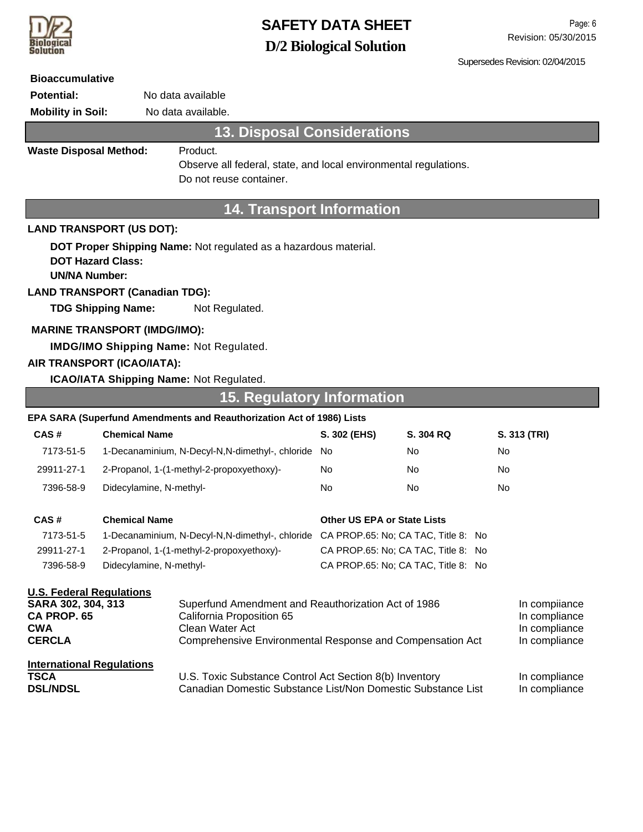

Supersedes Revision: 02/04/2015

| <b>Bioaccumulative</b>                                                                                                                                                                        |                                                                    |                                                                       |                                                                                     |                                                 |              |
|-----------------------------------------------------------------------------------------------------------------------------------------------------------------------------------------------|--------------------------------------------------------------------|-----------------------------------------------------------------------|-------------------------------------------------------------------------------------|-------------------------------------------------|--------------|
| <b>Potential:</b>                                                                                                                                                                             | No data available                                                  |                                                                       |                                                                                     |                                                 |              |
| <b>Mobility in Soil:</b>                                                                                                                                                                      | No data available.                                                 |                                                                       |                                                                                     |                                                 |              |
|                                                                                                                                                                                               |                                                                    | <b>13. Disposal Considerations</b>                                    |                                                                                     |                                                 |              |
| <b>Waste Disposal Method:</b>                                                                                                                                                                 |                                                                    | Product.                                                              |                                                                                     |                                                 |              |
|                                                                                                                                                                                               |                                                                    | Observe all federal, state, and local environmental regulations.      |                                                                                     |                                                 |              |
|                                                                                                                                                                                               |                                                                    | Do not reuse container.                                               |                                                                                     |                                                 |              |
|                                                                                                                                                                                               |                                                                    | <b>14. Transport Information</b>                                      |                                                                                     |                                                 |              |
|                                                                                                                                                                                               | <b>LAND TRANSPORT (US DOT):</b>                                    |                                                                       |                                                                                     |                                                 |              |
| DOT Proper Shipping Name: Not regulated as a hazardous material.<br><b>DOT Hazard Class:</b><br><b>UN/NA Number:</b>                                                                          |                                                                    |                                                                       |                                                                                     |                                                 |              |
|                                                                                                                                                                                               | <b>LAND TRANSPORT (Canadian TDG):</b><br><b>TDG Shipping Name:</b> |                                                                       |                                                                                     |                                                 |              |
|                                                                                                                                                                                               |                                                                    | Not Regulated.                                                        |                                                                                     |                                                 |              |
|                                                                                                                                                                                               | <b>MARINE TRANSPORT (IMDG/IMO):</b>                                |                                                                       |                                                                                     |                                                 |              |
|                                                                                                                                                                                               |                                                                    | <b>IMDG/IMO Shipping Name: Not Regulated.</b>                         |                                                                                     |                                                 |              |
|                                                                                                                                                                                               | AIR TRANSPORT (ICAO/IATA):                                         |                                                                       |                                                                                     |                                                 |              |
|                                                                                                                                                                                               |                                                                    | <b>ICAO/IATA Shipping Name: Not Regulated.</b>                        |                                                                                     |                                                 |              |
|                                                                                                                                                                                               |                                                                    | <b>15. Regulatory Information</b>                                     |                                                                                     |                                                 |              |
|                                                                                                                                                                                               |                                                                    | EPA SARA (Superfund Amendments and Reauthorization Act of 1986) Lists |                                                                                     |                                                 |              |
| CAS#                                                                                                                                                                                          | <b>Chemical Name</b>                                               |                                                                       | S. 302 (EHS)                                                                        | S. 304 RQ                                       | S. 313 (TRI) |
| 7173-51-5                                                                                                                                                                                     |                                                                    | 1-Decanaminium, N-Decyl-N,N-dimethyl-, chloride                       | No                                                                                  | No                                              | No           |
| 29911-27-1                                                                                                                                                                                    |                                                                    | 2-Propanol, 1-(1-methyl-2-propoxyethoxy)-                             | No.                                                                                 | No                                              | No           |
| 7396-58-9                                                                                                                                                                                     | Didecylamine, N-methyl-                                            |                                                                       | No.                                                                                 | No                                              | No           |
|                                                                                                                                                                                               |                                                                    |                                                                       |                                                                                     |                                                 |              |
| CAS#                                                                                                                                                                                          | <b>Chemical Name</b>                                               |                                                                       | <b>Other US EPA or State Lists</b>                                                  |                                                 |              |
| 7173-51-5                                                                                                                                                                                     |                                                                    |                                                                       | 1-Decanaminium, N-Decyl-N,N-dimethyl-, chloride CA PROP.65: No; CA TAC, Title 8: No |                                                 |              |
| 29911-27-1                                                                                                                                                                                    | 2-Propanol, 1-(1-methyl-2-propoxyethoxy)-                          |                                                                       | CA PROP.65: No; CA TAC, Title 8: No                                                 |                                                 |              |
| 7396-58-9                                                                                                                                                                                     | Didecylamine, N-methyl-                                            |                                                                       |                                                                                     | CA PROP.65: No; CA TAC, Title 8: No             |              |
| <b>U.S. Federal Regulations</b><br>SARA 302, 304, 313<br>Superfund Amendment and Reauthorization Act of 1986<br>CA PROP. 65<br>California Proposition 65<br><b>CWA</b><br>Clean Water Act     |                                                                    |                                                                       |                                                                                     | In compiiance<br>In compliance<br>In compliance |              |
| <b>CERCLA</b><br>Comprehensive Environmental Response and Compensation Act                                                                                                                    |                                                                    |                                                                       |                                                                                     | In compliance                                   |              |
| <b>International Regulations</b><br><b>TSCA</b><br>U.S. Toxic Substance Control Act Section 8(b) Inventory<br><b>DSL/NDSL</b><br>Canadian Domestic Substance List/Non Domestic Substance List |                                                                    |                                                                       |                                                                                     | In compliance<br>In compliance                  |              |